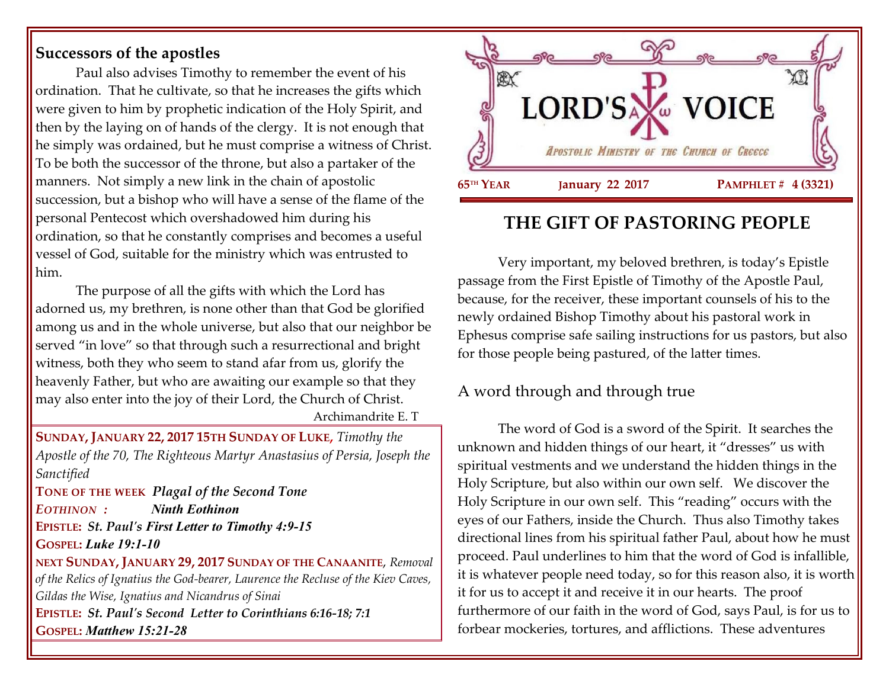#### **Successors of the apostles**

Paul also advises Timothy to remember the event of his ordination. That he cultivate, so that he increases the gifts which were given to him by prophetic indication of the Holy Spirit, and then by the laying on of hands of the clergy. It is not enough that he simply was ordained, but he must comprise a witness of Christ. To be both the successor of the throne, but also a partaker of the manners. Not simply a new link in the chain of apostolic succession, but a bishop who will have a sense of the flame of the personal Pentecost which overshadowed him during his ordination, so that he constantly comprises and becomes a useful vessel of God, suitable for the ministry which was entrusted to him.

The purpose of all the gifts with which the Lord has adorned us, my brethren, is none other than that God be glorified among us and in the whole universe, but also that our neighbor be served "in love" so that through such a resurrectional and bright witness, both they who seem to stand afar from us, glorify the heavenly Father, but who are awaiting our example so that they may also enter into the joy of their Lord, the Church of Christ.

Archimandrite E. T

**SUNDAY, JANUARY 22, 2017 15TH SUNDAY OF LUKE,** *Timothy the Apostle of the 70, The Righteous Martyr Anastasius of Persia, Joseph the Sanctified*

**TONE OF THE WEEK** *Plagal of the Second Tone EOTHINON : Ninth Eothinon* **EPISTLE:** *St. Paul's First Letter to Timothy 4:9-15* **GOSPEL:** *Luke 19:1-10*

**NEXT SUNDAY, JANUARY 29, 2017 SUNDAY OF THE CANAANITE**, *Removal of the Relics of Ignatius the God-bearer, Laurence the Recluse of the Kiev Caves, Gildas the Wise, Ignatius and Nicandrus of Sinai*  **EPISTLE:** *St. Paul's Second Letter to Corinthians 6:16-18; 7:1* **GOSPEL:** *Matthew 15:21-28*



# **THE GIFT OF PASTORING PEOPLE**

Very important, my beloved brethren, is today's Epistle passage from the First Epistle of Timothy of the Apostle Paul, because, for the receiver, these important counsels of his to the newly ordained Bishop Timothy about his pastoral work in Ephesus comprise safe sailing instructions for us pastors, but also for those people being pastured, of the latter times.

### A word through and through true

The word of God is a sword of the Spirit. It searches the unknown and hidden things of our heart, it "dresses" us with spiritual vestments and we understand the hidden things in the Holy Scripture, but also within our own self. We discover the Holy Scripture in our own self. This "reading" occurs with the eyes of our Fathers, inside the Church. Thus also Timothy takes directional lines from his spiritual father Paul, about how he must proceed. Paul underlines to him that the word of God is infallible, it is whatever people need today, so for this reason also, it is worth it for us to accept it and receive it in our hearts. The proof furthermore of our faith in the word of God, says Paul, is for us to forbear mockeries, tortures, and afflictions. These adventures